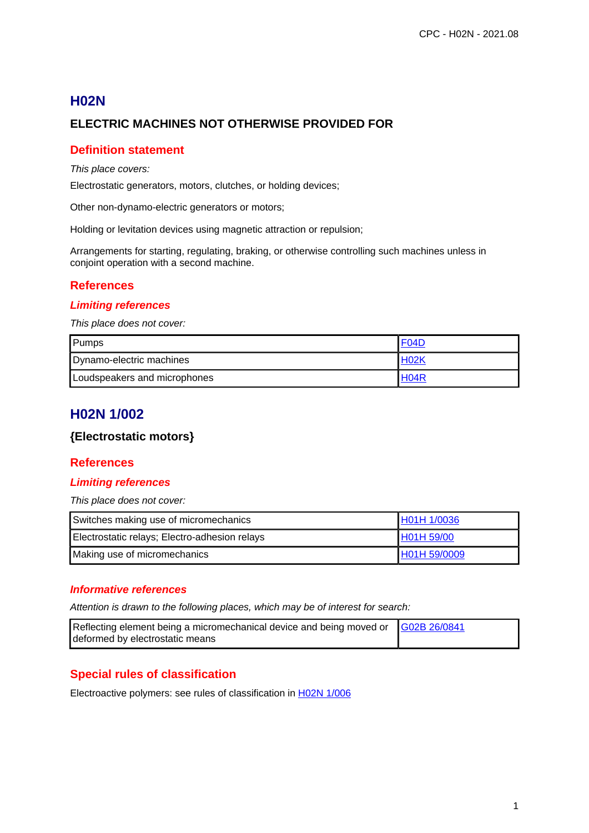# **H02N ELECTRIC MACHINES NOT OTHERWISE PROVIDED FOR**

## **Definition statement**

#### This place covers:

Electrostatic generators, motors, clutches, or holding devices;

Other non-dynamo-electric generators or motors;

Holding or levitation devices using magnetic attraction or repulsion;

Arrangements for starting, regulating, braking, or otherwise controlling such machines unless in conjoint operation with a second machine.

## **References**

#### **Limiting references**

This place does not cover:

| Pumps                        | F04D              |
|------------------------------|-------------------|
| Dynamo-electric machines     | H <sub>02</sub> K |
| Loudspeakers and microphones | H <sub>04</sub> R |

# **H02N 1/002**

#### **{Electrostatic motors}**

#### **References**

#### **Limiting references**

This place does not cover:

| Switches making use of micromechanics         | H01H 1/0036  |
|-----------------------------------------------|--------------|
| Electrostatic relays; Electro-adhesion relays | H01H 59/00   |
| Making use of micromechanics                  | H01H 59/0009 |

#### **Informative references**

Attention is drawn to the following places, which may be of interest for search:

| Reflecting element being a micromechanical device and being moved or G02B 26/0841 |  |
|-----------------------------------------------------------------------------------|--|
| deformed by electrostatic means                                                   |  |

## **Special rules of classification**

Electroactive polymers: see rules of classification in H02N 1/006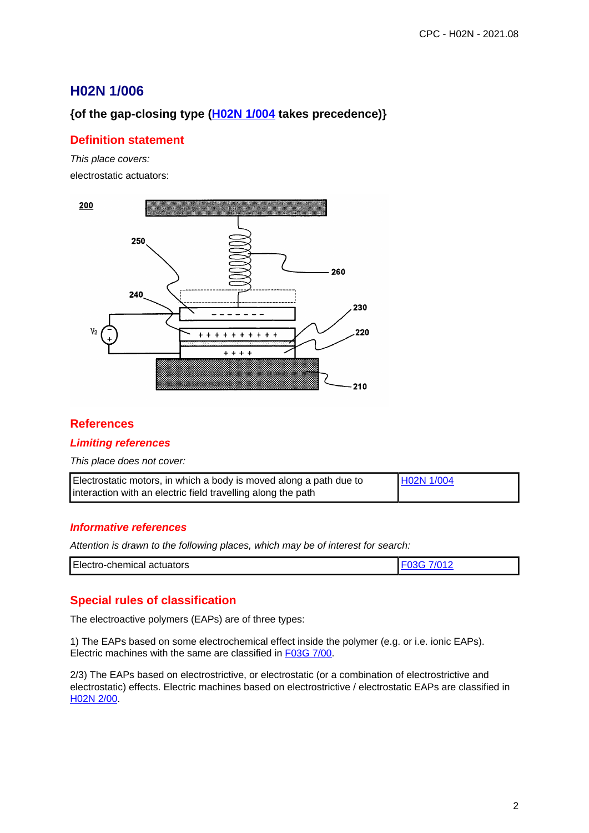# **H02N 1/006**

# **{of the gap-closing type (H02N 1/004 takes precedence)}**

## **Definition statement**

This place covers: electrostatic actuators:



## **References**

#### **Limiting references**

This place does not cover:

| Electrostatic motors, in which a body is moved along a path due to | H <sub>02</sub> N 1/004 |
|--------------------------------------------------------------------|-------------------------|
| interaction with an electric field travelling along the path       |                         |

#### **Informative references**

Attention is drawn to the following places, which may be of interest for search:

| Electro-chemical actuators |  |
|----------------------------|--|

## **Special rules of classification**

The electroactive polymers (EAPs) are of three types:

1) The EAPs based on some electrochemical effect inside the polymer (e.g. or i.e. ionic EAPs). Electric machines with the same are classified in F03G 7/00.

2/3) The EAPs based on electrostrictive, or electrostatic (or a combination of electrostrictive and electrostatic) effects. Electric machines based on electrostrictive / electrostatic EAPs are classified in H02N 2/00.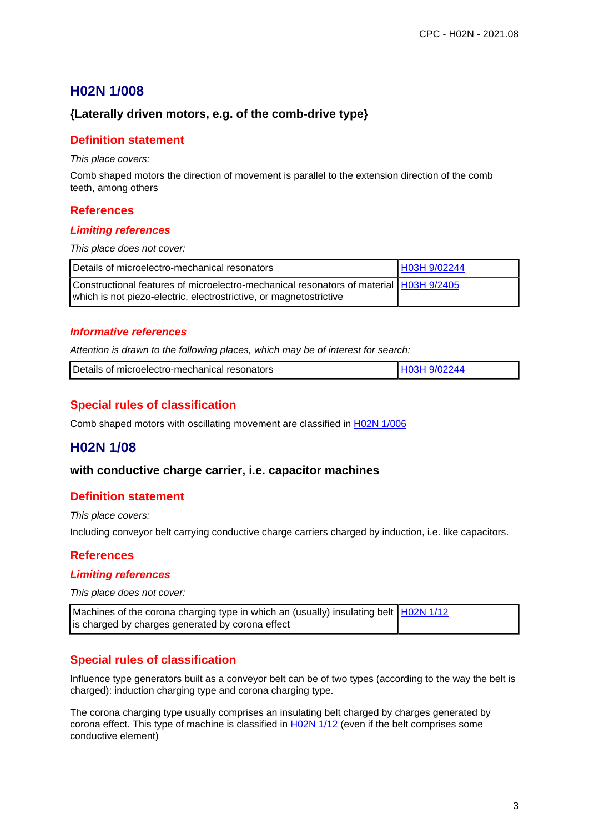# **H02N 1/008**

### **{Laterally driven motors, e.g. of the comb-drive type}**

#### **Definition statement**

This place covers:

Comb shaped motors the direction of movement is parallel to the extension direction of the comb teeth, among others

#### **References**

#### **Limiting references**

This place does not cover:

| Details of microelectro-mechanical resonators                                                                                                               | H03H 9/02244 |
|-------------------------------------------------------------------------------------------------------------------------------------------------------------|--------------|
| Constructional features of microelectro-mechanical resonators of material H03H 9/2405<br>which is not piezo-electric, electrostrictive, or magnetostrictive |              |

#### **Informative references**

Attention is drawn to the following places, which may be of interest for search:

|  | Details of microelectro-mechanical resonators |  |
|--|-----------------------------------------------|--|
|--|-----------------------------------------------|--|

### **Special rules of classification**

Comb shaped motors with oscillating movement are classified in **H02N 1/006** 

## **H02N 1/08**

#### **with conductive charge carrier, i.e. capacitor machines**

#### **Definition statement**

This place covers:

Including conveyor belt carrying conductive charge carriers charged by induction, i.e. like capacitors.

#### **References**

#### **Limiting references**

This place does not cover:

| Machines of the corona charging type in which an (usually) insulating belt   H02N 1/12 |  |
|----------------------------------------------------------------------------------------|--|
| is charged by charges generated by corona effect                                       |  |

#### **Special rules of classification**

Influence type generators built as a conveyor belt can be of two types (according to the way the belt is charged): induction charging type and corona charging type.

The corona charging type usually comprises an insulating belt charged by charges generated by corona effect. This type of machine is classified in H02N 1/12 (even if the belt comprises some conductive element)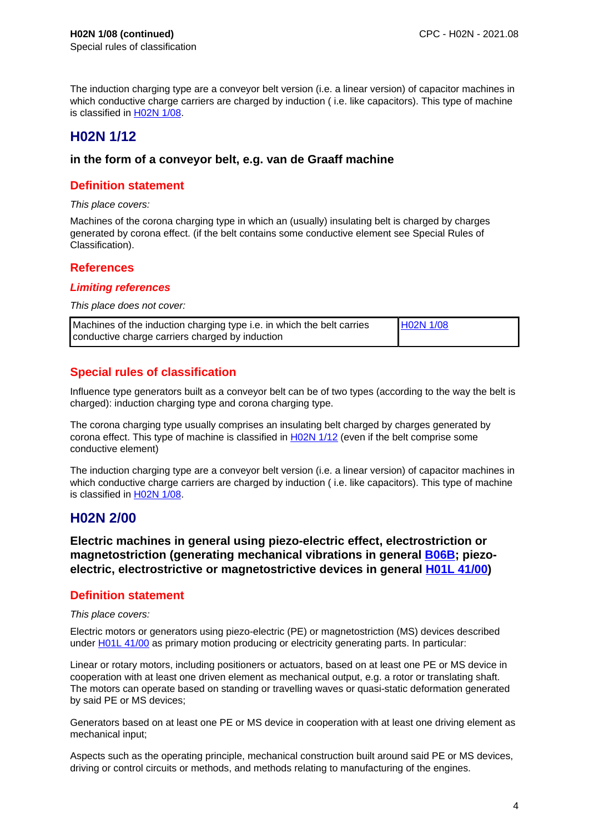The induction charging type are a conveyor belt version (i.e. a linear version) of capacitor machines in which conductive charge carriers are charged by induction ( i.e. like capacitors). This type of machine is classified in H02N 1/08.

# **H02N 1/12**

#### **in the form of a conveyor belt, e.g. van de Graaff machine**

### **Definition statement**

This place covers:

Machines of the corona charging type in which an (usually) insulating belt is charged by charges generated by corona effect. (if the belt contains some conductive element see Special Rules of Classification).

### **References**

#### **Limiting references**

This place does not cover:

| Machines of the induction charging type i.e. in which the belt carries | $H02N$ 1/08 |
|------------------------------------------------------------------------|-------------|
| conductive charge carriers charged by induction                        |             |

## **Special rules of classification**

Influence type generators built as a conveyor belt can be of two types (according to the way the belt is charged): induction charging type and corona charging type.

The corona charging type usually comprises an insulating belt charged by charges generated by corona effect. This type of machine is classified in  $H02N$  1/12 (even if the belt comprise some conductive element)

The induction charging type are a conveyor belt version (i.e. a linear version) of capacitor machines in which conductive charge carriers are charged by induction ( i.e. like capacitors). This type of machine is classified in H02N 1/08.

## **H02N 2/00**

**Electric machines in general using piezo-electric effect, electrostriction or magnetostriction (generating mechanical vibrations in general B06B; piezoelectric, electrostrictive or magnetostrictive devices in general H01L 41/00)**

#### **Definition statement**

This place covers:

Electric motors or generators using piezo-electric (PE) or magnetostriction (MS) devices described under H01L 41/00 as primary motion producing or electricity generating parts. In particular:

Linear or rotary motors, including positioners or actuators, based on at least one PE or MS device in cooperation with at least one driven element as mechanical output, e.g. a rotor or translating shaft. The motors can operate based on standing or travelling waves or quasi-static deformation generated by said PE or MS devices;

Generators based on at least one PE or MS device in cooperation with at least one driving element as mechanical input;

Aspects such as the operating principle, mechanical construction built around said PE or MS devices, driving or control circuits or methods, and methods relating to manufacturing of the engines.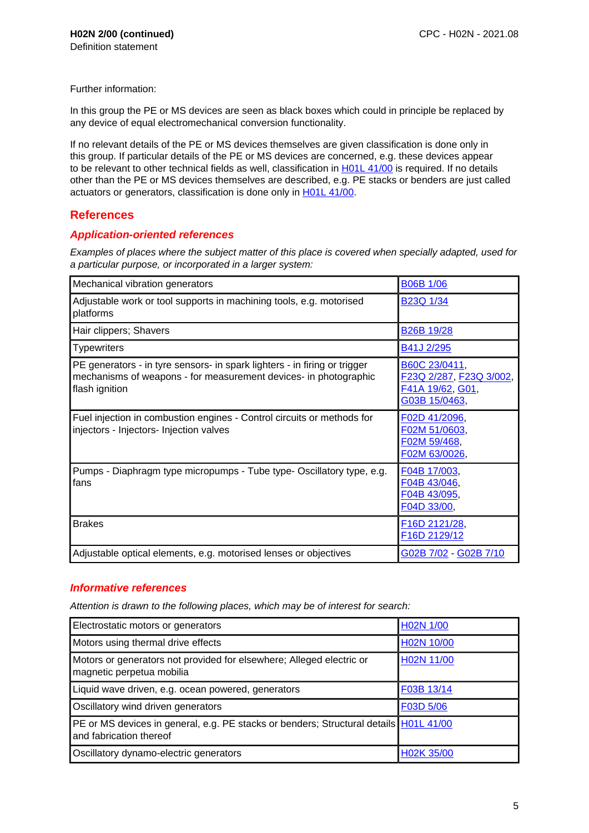Further information:

In this group the PE or MS devices are seen as black boxes which could in principle be replaced by any device of equal electromechanical conversion functionality.

If no relevant details of the PE or MS devices themselves are given classification is done only in this group. If particular details of the PE or MS devices are concerned, e.g. these devices appear to be relevant to other technical fields as well, classification in H01L 41/00 is required. If no details other than the PE or MS devices themselves are described, e.g. PE stacks or benders are just called actuators or generators, classification is done only in **H01L 41/00**.

## **References**

#### **Application-oriented references**

Examples of places where the subject matter of this place is covered when specially adapted, used for a particular purpose, or incorporated in a larger system:

| Mechanical vibration generators                                                                                                                                 | <b>B06B 1/06</b>                                                                |
|-----------------------------------------------------------------------------------------------------------------------------------------------------------------|---------------------------------------------------------------------------------|
| Adjustable work or tool supports in machining tools, e.g. motorised<br>platforms                                                                                | B <sub>23</sub> Q 1/34                                                          |
| Hair clippers; Shavers                                                                                                                                          | <b>B26B 19/28</b>                                                               |
| <b>Typewriters</b>                                                                                                                                              | B41J 2/295                                                                      |
| PE generators - in tyre sensors- in spark lighters - in firing or trigger<br>mechanisms of weapons - for measurement devices- in photographic<br>flash ignition | B60C 23/0411,<br>F23Q 2/287, F23Q 3/002,<br>F41A 19/62, G01,<br>G03B 15/0463,   |
| Fuel injection in combustion engines - Control circuits or methods for<br>injectors - Injectors- Injection valves                                               | F02D 41/2096,<br>F02M 51/0603,<br>F02M 59/468,<br>F02M 63/0026,                 |
| Pumps - Diaphragm type micropumps - Tube type- Oscillatory type, e.g.<br>fans                                                                                   | F04B 17/003,<br>F04B 43/046,<br>F04B 43/095,<br>F04D 33/00,                     |
| <b>Brakes</b>                                                                                                                                                   | F <sub>16</sub> D <sub>2121</sub> /28,<br>F <sub>16</sub> D <sub>2129</sub> /12 |
| Adjustable optical elements, e.g. motorised lenses or objectives                                                                                                | G02B 7/02 - G02B 7/10                                                           |

#### **Informative references**

| Electrostatic motors or generators                                                                               | H02N 1/00  |
|------------------------------------------------------------------------------------------------------------------|------------|
| Motors using thermal drive effects                                                                               | H02N 10/00 |
| Motors or generators not provided for elsewhere; Alleged electric or<br>magnetic perpetua mobilia                | H02N 11/00 |
| Liquid wave driven, e.g. ocean powered, generators                                                               | F03B 13/14 |
| Oscillatory wind driven generators                                                                               | F03D 5/06  |
| PE or MS devices in general, e.g. PE stacks or benders; Structural details H01L 41/00<br>and fabrication thereof |            |
| Oscillatory dynamo-electric generators                                                                           | H02K 35/00 |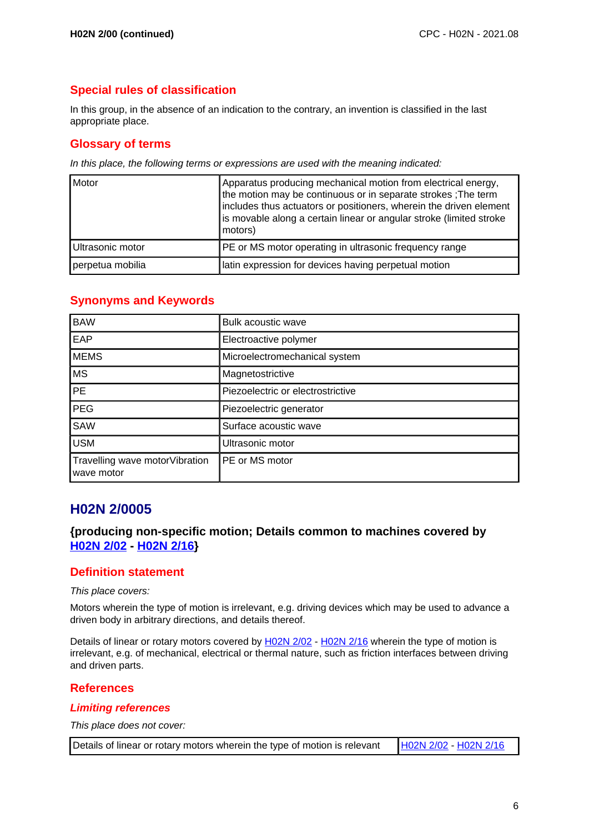# **Special rules of classification**

In this group, in the absence of an indication to the contrary, an invention is classified in the last appropriate place.

## **Glossary of terms**

In this place, the following terms or expressions are used with the meaning indicated:

| Motor            | Apparatus producing mechanical motion from electrical energy,<br>the motion may be continuous or in separate strokes ; The term<br>includes thus actuators or positioners, wherein the driven element<br>is movable along a certain linear or angular stroke (limited stroke<br>motors) |
|------------------|-----------------------------------------------------------------------------------------------------------------------------------------------------------------------------------------------------------------------------------------------------------------------------------------|
| Ultrasonic motor | PE or MS motor operating in ultrasonic frequency range                                                                                                                                                                                                                                  |
| perpetua mobilia | latin expression for devices having perpetual motion                                                                                                                                                                                                                                    |

## **Synonyms and Keywords**

| <b>BAW</b>                                   | Bulk acoustic wave                |
|----------------------------------------------|-----------------------------------|
| EAP                                          | Electroactive polymer             |
| <b>MEMS</b>                                  | Microelectromechanical system     |
| <b>MS</b>                                    | Magnetostrictive                  |
| <b>PE</b>                                    | Piezoelectric or electrostrictive |
| <b>PEG</b>                                   | Piezoelectric generator           |
| SAW                                          | Surface acoustic wave             |
| <b>USM</b>                                   | Ultrasonic motor                  |
| Travelling wave motorVibration<br>wave motor | PE or MS motor                    |

# **H02N 2/0005**

## **{producing non-specific motion; Details common to machines covered by H02N 2/02 - H02N 2/16}**

#### **Definition statement**

This place covers:

Motors wherein the type of motion is irrelevant, e.g. driving devices which may be used to advance a driven body in arbitrary directions, and details thereof.

Details of linear or rotary motors covered by H02N 2/02 - H02N 2/16 wherein the type of motion is irrelevant, e.g. of mechanical, electrical or thermal nature, such as friction interfaces between driving and driven parts.

## **References**

#### **Limiting references**

This place does not cover:

| Details of linear or rotary motors wherein the type of motion is relevant   H02N 2/02 - H02N 2/16 |  |
|---------------------------------------------------------------------------------------------------|--|
|---------------------------------------------------------------------------------------------------|--|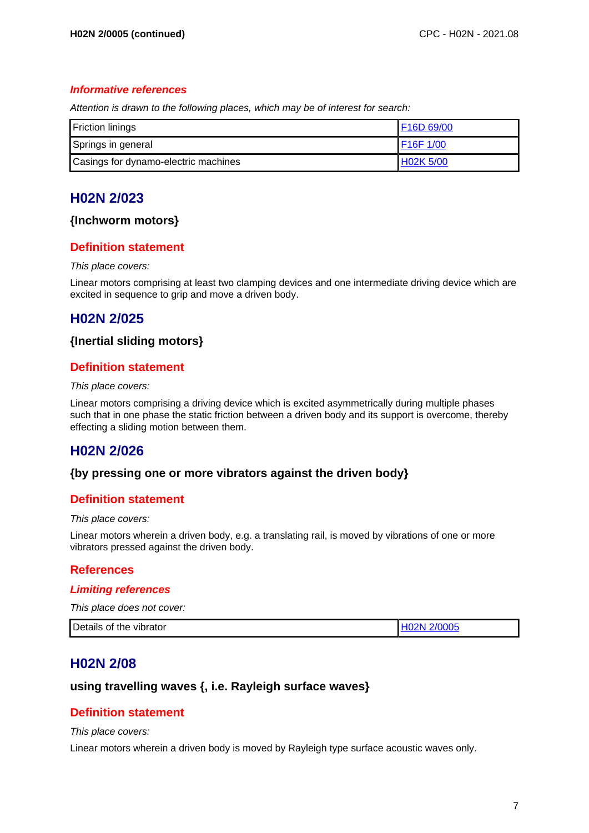#### **Informative references**

Attention is drawn to the following places, which may be of interest for search:

| <b>Friction linings</b>              | F16D 69/00 |
|--------------------------------------|------------|
| Springs in general                   | IF16F 1/00 |
| Casings for dynamo-electric machines | H02K 5/00  |

# **H02N 2/023**

#### **{Inchworm motors}**

### **Definition statement**

#### This place covers:

Linear motors comprising at least two clamping devices and one intermediate driving device which are excited in sequence to grip and move a driven body.

# **H02N 2/025**

#### **{Inertial sliding motors}**

### **Definition statement**

#### This place covers:

Linear motors comprising a driving device which is excited asymmetrically during multiple phases such that in one phase the static friction between a driven body and its support is overcome, thereby effecting a sliding motion between them.

# **H02N 2/026**

#### **{by pressing one or more vibrators against the driven body}**

#### **Definition statement**

#### This place covers:

Linear motors wherein a driven body, e.g. a translating rail, is moved by vibrations of one or more vibrators pressed against the driven body.

#### **References**

#### **Limiting references**

This place does not cover:

| Details of the vibrator | H02N 2/0005 |
|-------------------------|-------------|
|-------------------------|-------------|

# **H02N 2/08**

### **using travelling waves {, i.e. Rayleigh surface waves}**

#### **Definition statement**

#### This place covers:

Linear motors wherein a driven body is moved by Rayleigh type surface acoustic waves only.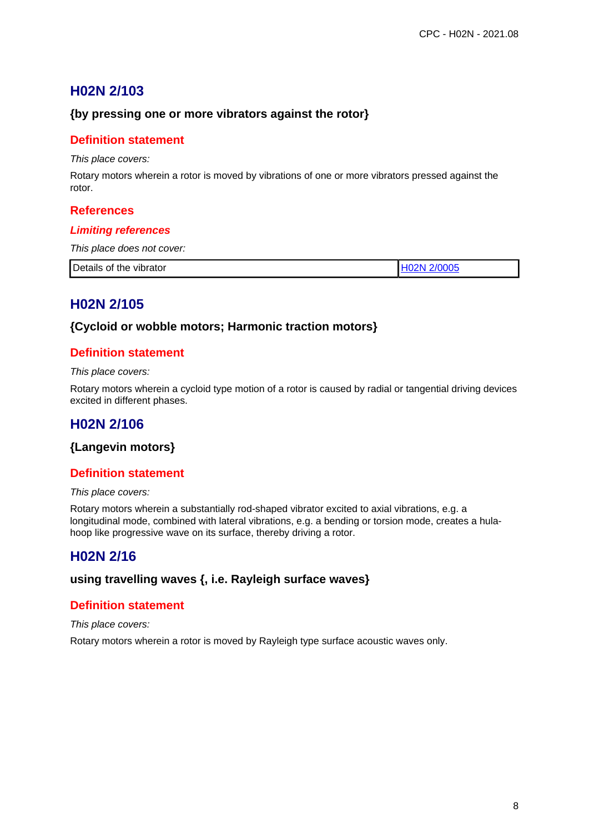# **H02N 2/103**

## **{by pressing one or more vibrators against the rotor}**

## **Definition statement**

This place covers:

Rotary motors wherein a rotor is moved by vibrations of one or more vibrators pressed against the rotor.

#### **References**

#### **Limiting references**

This place does not cover:

| Details of<br>$\sim$ $\sim$ $\sim$<br>OOL<br>vibrator<br>the |  |
|--------------------------------------------------------------|--|
|                                                              |  |

# **H02N 2/105**

#### **{Cycloid or wobble motors; Harmonic traction motors}**

## **Definition statement**

This place covers:

Rotary motors wherein a cycloid type motion of a rotor is caused by radial or tangential driving devices excited in different phases.

# **H02N 2/106**

## **{Langevin motors}**

## **Definition statement**

This place covers:

Rotary motors wherein a substantially rod-shaped vibrator excited to axial vibrations, e.g. a longitudinal mode, combined with lateral vibrations, e.g. a bending or torsion mode, creates a hulahoop like progressive wave on its surface, thereby driving a rotor.

# **H02N 2/16**

### **using travelling waves {, i.e. Rayleigh surface waves}**

#### **Definition statement**

This place covers:

Rotary motors wherein a rotor is moved by Rayleigh type surface acoustic waves only.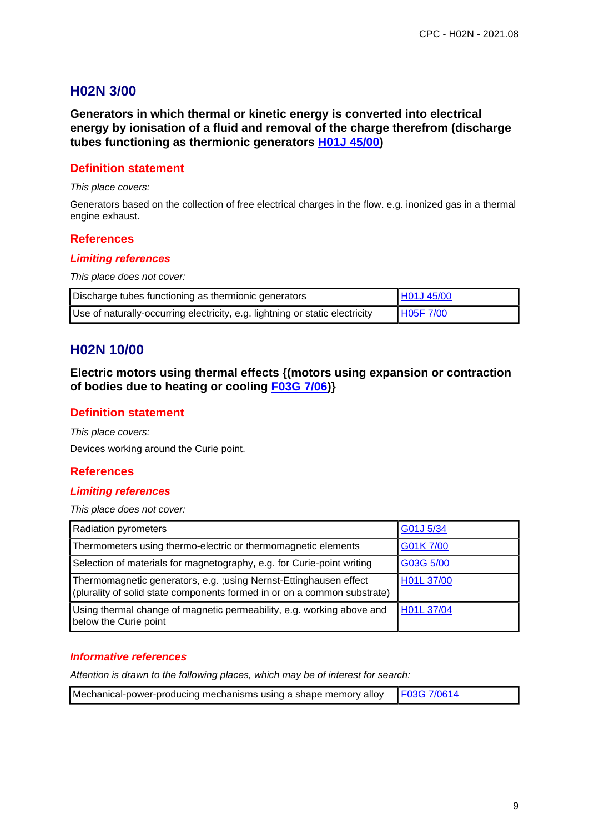# **H02N 3/00**

**Generators in which thermal or kinetic energy is converted into electrical energy by ionisation of a fluid and removal of the charge therefrom (discharge tubes functioning as thermionic generators H01J 45/00)**

## **Definition statement**

#### This place covers:

Generators based on the collection of free electrical charges in the flow. e.g. inonized gas in a thermal engine exhaust.

#### **References**

#### **Limiting references**

This place does not cover:

| Discharge tubes functioning as thermionic generators                         | H01J 45/00 |
|------------------------------------------------------------------------------|------------|
| Use of naturally-occurring electricity, e.g. lightning or static electricity | H05F 7/00  |

# **H02N 10/00**

**Electric motors using thermal effects {(motors using expansion or contraction of bodies due to heating or cooling F03G 7/06)}**

### **Definition statement**

This place covers: Devices working around the Curie point.

#### **References**

#### **Limiting references**

This place does not cover:

| <b>Radiation pyrometers</b>                                                                                                                    | G01J 5/34  |
|------------------------------------------------------------------------------------------------------------------------------------------------|------------|
| Thermometers using thermo-electric or thermomagnetic elements                                                                                  | G01K 7/00  |
| Selection of materials for magnetography, e.g. for Curie-point writing                                                                         | G03G 5/00  |
| Thermomagnetic generators, e.g. ; using Nernst-Ettinghausen effect<br>(plurality of solid state components formed in or on a common substrate) | H01L 37/00 |
| Using thermal change of magnetic permeability, e.g. working above and<br>below the Curie point                                                 | H01L 37/04 |

#### **Informative references**

| Mechanical-power-producing mechanisms using a shape memory alloy   F03G 7/0614 |  |
|--------------------------------------------------------------------------------|--|
|--------------------------------------------------------------------------------|--|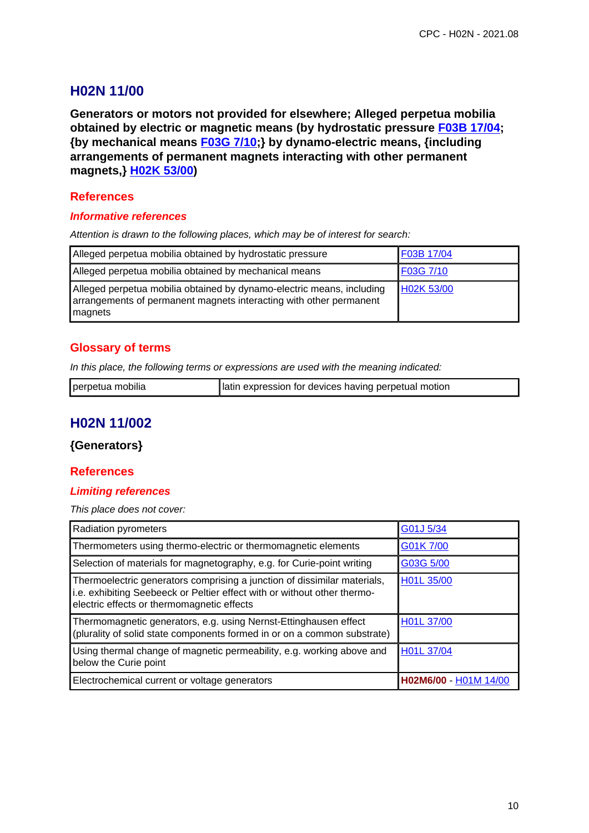# **H02N 11/00**

**Generators or motors not provided for elsewhere; Alleged perpetua mobilia obtained by electric or magnetic means (by hydrostatic pressure F03B 17/04; {by mechanical means F03G 7/10;} by dynamo-electric means, {including arrangements of permanent magnets interacting with other permanent magnets,} H02K 53/00)**

## **References**

#### **Informative references**

Attention is drawn to the following places, which may be of interest for search:

| Alleged perpetua mobilia obtained by hydrostatic pressure                                                                                              | F03B 17/04 |
|--------------------------------------------------------------------------------------------------------------------------------------------------------|------------|
| Alleged perpetua mobilia obtained by mechanical means                                                                                                  | F03G 7/10  |
| Alleged perpetua mobilia obtained by dynamo-electric means, including<br>arrangements of permanent magnets interacting with other permanent<br>magnets | H02K 53/00 |

### **Glossary of terms**

In this place, the following terms or expressions are used with the meaning indicated:

| perpetua mobilia | Iatin expression for devices having perpetual motion |
|------------------|------------------------------------------------------|
|                  |                                                      |

# **H02N 11/002**

## **{Generators}**

#### **References**

#### **Limiting references**

This place does not cover:

| Radiation pyrometers                                                                                                                                                                               | G01J 5/34             |
|----------------------------------------------------------------------------------------------------------------------------------------------------------------------------------------------------|-----------------------|
| Thermometers using thermo-electric or thermomagnetic elements                                                                                                                                      | G01K 7/00             |
| Selection of materials for magnetography, e.g. for Curie-point writing                                                                                                                             | G03G 5/00             |
| Thermoelectric generators comprising a junction of dissimilar materials,<br>i.e. exhibiting Seebeeck or Peltier effect with or without other thermo-<br>electric effects or thermomagnetic effects | H01L 35/00            |
| Thermomagnetic generators, e.g. using Nernst-Ettinghausen effect<br>(plurality of solid state components formed in or on a common substrate)                                                       | H01L 37/00            |
| Using thermal change of magnetic permeability, e.g. working above and<br>below the Curie point                                                                                                     | H01L 37/04            |
| Electrochemical current or voltage generators                                                                                                                                                      | H02M6/00 - H01M 14/00 |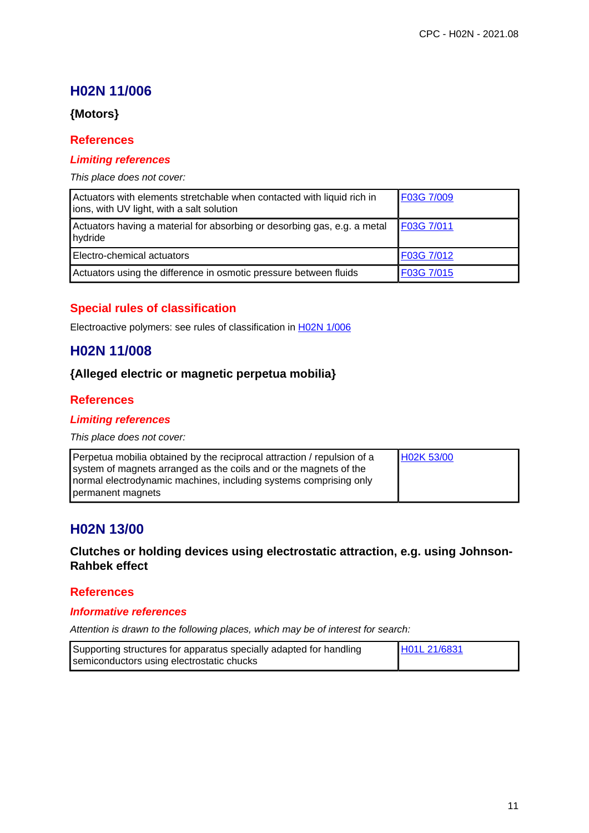# **H02N 11/006**

## **{Motors}**

#### **References**

#### **Limiting references**

#### This place does not cover:

| Actuators with elements stretchable when contacted with liquid rich in<br>ions, with UV light, with a salt solution | F03G 7/009 |
|---------------------------------------------------------------------------------------------------------------------|------------|
| Actuators having a material for absorbing or desorbing gas, e.g. a metal<br>hydride                                 | F03G 7/011 |
| Electro-chemical actuators                                                                                          | F03G 7/012 |
| Actuators using the difference in osmotic pressure between fluids                                                   | F03G 7/015 |

## **Special rules of classification**

Electroactive polymers: see rules of classification in H02N 1/006

# **H02N 11/008**

## **{Alleged electric or magnetic perpetua mobilia}**

#### **References**

#### **Limiting references**

This place does not cover:

| Perpetua mobilia obtained by the reciprocal attraction / repulsion of a | H02K 53/00 |
|-------------------------------------------------------------------------|------------|
| system of magnets arranged as the coils and or the magnets of the       |            |
| normal electrodynamic machines, including systems comprising only       |            |
| permanent magnets                                                       |            |

# **H02N 13/00**

## **Clutches or holding devices using electrostatic attraction, e.g. using Johnson-Rahbek effect**

#### **References**

#### **Informative references**

| Supporting structures for apparatus specially adapted for handling | H01L 21/6831 |
|--------------------------------------------------------------------|--------------|
| semiconductors using electrostatic chucks                          |              |